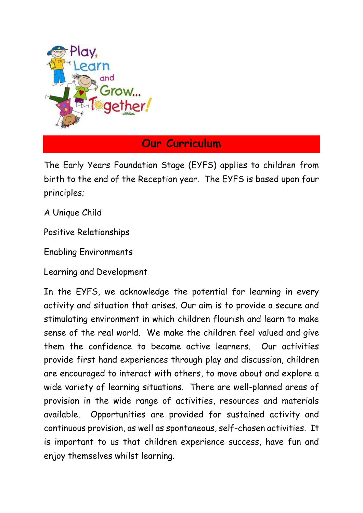

## **Our Curriculum**

The Early Years Foundation Stage (EYFS) applies to children from birth to the end of the Reception year. The EYFS is based upon four principles;

A Unique Child

Positive Relationships

Enabling Environments

Learning and Development

In the EYFS, we acknowledge the potential for learning in every activity and situation that arises. Our aim is to provide a secure and stimulating environment in which children flourish and learn to make sense of the real world. We make the children feel valued and give them the confidence to become active learners. Our activities provide first hand experiences through play and discussion, children are encouraged to interact with others, to move about and explore a wide variety of learning situations. There are well-planned areas of provision in the wide range of activities, resources and materials available. Opportunities are provided for sustained activity and continuous provision, as well as spontaneous, self-chosen activities. It is important to us that children experience success, have fun and enjoy themselves whilst learning.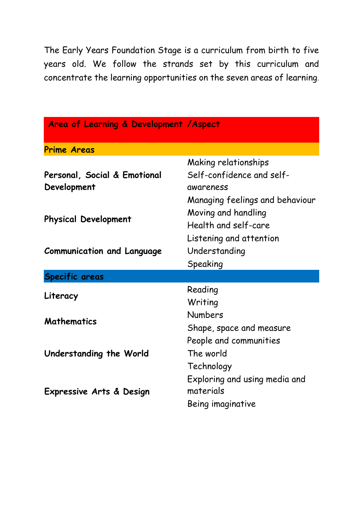The Early Years Foundation Stage is a curriculum from birth to five years old. We follow the strands set by this curriculum and concentrate the learning opportunities on the seven areas of learning.

| Area of Learning & Development / Aspect |                                 |
|-----------------------------------------|---------------------------------|
| <b>Prime Areas</b>                      |                                 |
|                                         | Making relationships            |
| Personal, Social & Emotional            | Self-confidence and self-       |
| Development                             | awareness                       |
|                                         | Managing feelings and behaviour |
| <b>Physical Development</b>             | Moving and handling             |
|                                         | Health and self-care            |
| <b>Communication and Language</b>       | Listening and attention         |
|                                         | Understanding                   |
|                                         | Speaking                        |
| <b>Specific areas</b>                   |                                 |
| Literacy                                | Reading                         |
|                                         | Writing                         |
| <b>Mathematics</b>                      | <b>Numbers</b>                  |
|                                         | Shape, space and measure        |
| Understanding the World                 | People and communities          |
|                                         | The world                       |
|                                         | Technology                      |
| Expressive Arts & Design                | Exploring and using media and   |
|                                         | materials                       |
|                                         | Being imaginative               |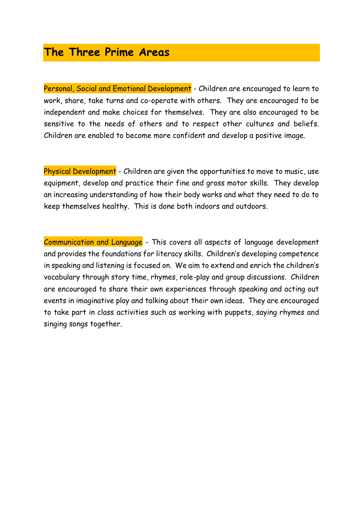## **The Three Prime Areas**

Personal, Social and Emotional Development - Children are encouraged to learn to work, share, take turns and co-operate with others. They are encouraged to be independent and make choices for themselves. They are also encouraged to be sensitive to the needs of others and to respect other cultures and beliefs. Children are enabled to become more confident and develop a positive image.

Physical Development - Children are given the opportunities to move to music, use equipment, develop and practice their fine and gross motor skills. They develop an increasing understanding of how their body works and what they need to do to keep themselves healthy. This is done both indoors and outdoors.

Communication and Language - This covers all aspects of language development and provides the foundations for literacy skills. Children's developing competence in speaking and listening is focused on. We aim to extend and enrich the children's vocabulary through story time, rhymes, role-play and group discussions. Children are encouraged to share their own experiences through speaking and acting out events in imaginative play and talking about their own ideas. They are encouraged to take part in class activities such as working with puppets, saying rhymes and singing songs together.